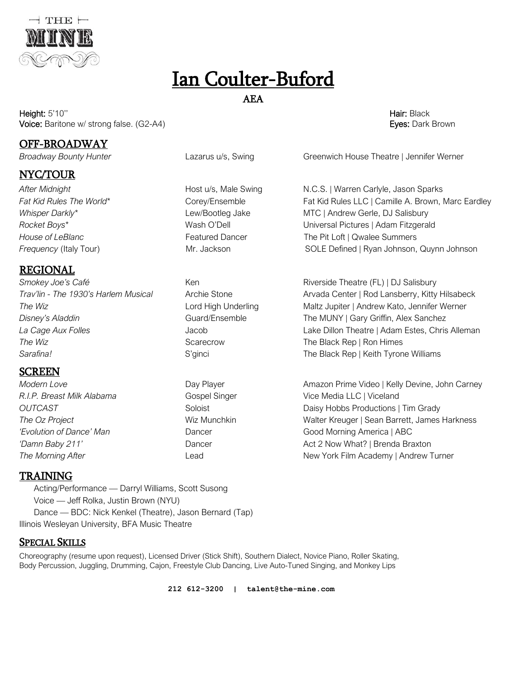

# Ian Coulter-Buford

## AEA

Height: 5'10'' Hair: Black Voice: Baritone w/ strong false. (G2-A4) **Exercise Security: A Security: Exercise Security: Exercise Security: Exercise Security: Exercise Security: Exercise Security: Exercise Security: Exercise Security: Exercise Securit** 

## OFF-BROADWAY

## NYC/TOUR

REGIONAL Smokey Joe's Café **Ken** Ken Riverside Theatre (FL) | DJ Salisbury **The Wiz Scarecrow The Black Rep | Ron Himes CO** 

# SCREEN

*R.I.P. Breast Milk Alabama* Gospel Singer Vice Media LLC | Viceland

*Broadway Bounty Hunter* Lazarus u/s, Swing Greenwich House Theatre | Jennifer Werner

*After Midnight* Host u/s, Male Swing N.C.S. | Warren Carlyle, Jason Sparks Fat Kid Rules The World<sup>\*</sup> Corey/Ensemble Fat Kid Rules LLC | Camille A. Brown, Marc Eardley Whisper Darkly<sup>\*</sup> The Lew/Bootleg Jake MTC | Andrew Gerle, DJ Salisbury *Rocket Boys\** Wash O'Dell Universal Pictures | Adam Fitzgerald **House of LeBlanc** Featured Dancer **Featured Dancer** The Pit Loft | Qwalee Summers **Frequency (Italy Tour)** Mr. Jackson SOLE Defined | Ryan Johnson, Quynn Johnson SOLE Defined | Ryan Johnson, Quynn Johnson

*Trav'lin - The 1930's Harlem Musical* Archie Stone Arvada Center | Rod Lansberry, Kitty Hilsabeck **The Wiz Lord High Underling** Maltz Jupiter | Andrew Kato, Jennifer Werner *Disney's Aladdin* Guard/Ensemble The MUNY | Gary Griffin, Alex Sanchez *La Cage Aux Folles* Jacob Lake Dillon Theatre | Adam Estes, Chris Alleman Sarafina! **Sarafinal S'ginci** S'ginci **S'ginci** The Black Rep | Keith Tyrone Williams

**Modern Love**  Day Player **Communist Prime Video | Kelly Devine, John Carney Communist Prime Video | Kelly Devine, John Carney OUTCAST Soloist** Soloist **Daisy Hobbs Productions | Tim Grady Daisy Hobbs Productions | Tim Grady** *The Oz Project* Wiz Munchkin Walter Kreuger | Sean Barrett, James Harkness *'Evolution of Dance' Man* **Dancer** Dancer **Cood Morning America** | ABC *'Damn Baby 211'* Dancer Act 2 Now What? | Brenda Braxton **The Morning After** The Lead Lead Lead New York Film Academy | Andrew Turner

#### TRAINING

 Acting/Performance — Darryl Williams, Scott Susong Voice — Jeff Rolka, Justin Brown (NYU) Dance — BDC: Nick Kenkel (Theatre), Jason Bernard (Tap) Illinois Wesleyan University, BFA Music Theatre

#### SPECIAL SKILLS

Choreography (resume upon request), Licensed Driver (Stick Shift), Southern Dialect, Novice Piano, Roller Skating, Body Percussion, Juggling, Drumming, Cajon, Freestyle Club Dancing, Live Auto-Tuned Singing, and Monkey Lips

**212 612-3200 | talent@the-mine.com**